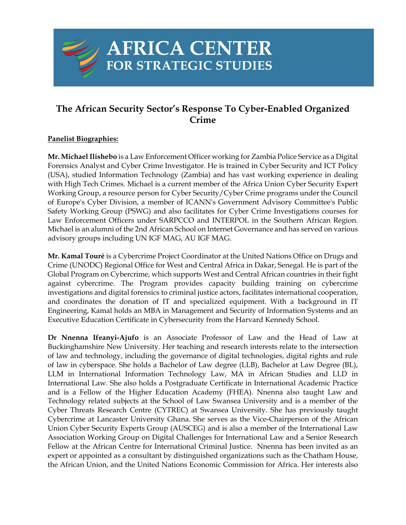## **The African Security Sector's Response To Cyber-Enabled Organized Crime**

**AFRICA CENTER** 

FOR STRATEGIC STUDIES

## **Panelist Biographies:**

**Mr. Michael Ilishebo** is a Law Enforcement Officer working for Zambia Police Service as a Digital Forensics Analyst and Cyber Crime Investigator. He is trained in Cyber Security and ICT Policy (USA), studied Information Technology (Zambia) and has vast working experience in dealing with High Tech Crimes. Michael is a current member of the Africa Union Cyber Security Expert Working Group, a resource person for Cyber Security/Cyber Crime programs under the Council of Europe's Cyber Division, a member of ICANN's Government Advisory Committee's Public Safety Working Group (PSWG) and also facilitates for Cyber Crime Investigations courses for Law Enforcement Officers under SARPCCO and INTERPOL in the Southern African Region. Michael is an alumni of the 2nd African School on Internet Governance and has served on various advisory groups including UN IGF MAG, AU IGF MAG.

**Mr. Kamal Touré** is a Cybercrime Project Coordinator at the United Nations Office on Drugs and Crime (UNODC) Regional Office for West and Central Africa in Dakar, Senegal. He is part of the Global Program on Cybercrime, which supports West and Central African countries in their fight against cybercrime. The Program provides capacity building training on cybercrime investigations and digital forensics to criminal justice actors, facilitates international cooperation, and coordinates the donation of IT and specialized equipment. With a background in IT Engineering, Kamal holds an MBA in Management and Security of Information Systems and an Executive Education Certificate in Cybersecurity from the Harvard Kennedy School.

**Dr Nnenna Ifeanyi-Ajufo** is an Associate Professor of Law and the Head of Law at Buckinghamshire New University. Her teaching and research interests relate to the intersection of law and technology, including the governance of digital technologies, digital rights and rule of law in cyberspace. She holds a Bachelor of Law degree (LLB), Bachelor at Law Degree (BL), LLM in International Information Technology Law, MA in African Studies and LLD in International Law. She also holds a Postgraduate Certificate in International Academic Practice and is a Fellow of the Higher Education Academy (FHEA). Nnenna also taught Law and Technology related subjects at the School of Law Swansea University and is a member of the Cyber Threats Research Centre (CYTREC) at Swansea University. She has previously taught Cybercrime at Lancaster University Ghana. She serves as the Vice-Chairperson of the African Union Cyber Security Experts Group (AUSCEG) and is also a member of the International Law Association Working Group on Digital Challenges for International Law and a Senior Research Fellow at the African Centre for International Criminal Justice. Nnenna has been invited as an expert or appointed as a consultant by distinguished organizations such as the Chatham House, the African Union, and the United Nations Economic Commission for Africa. Her interests also